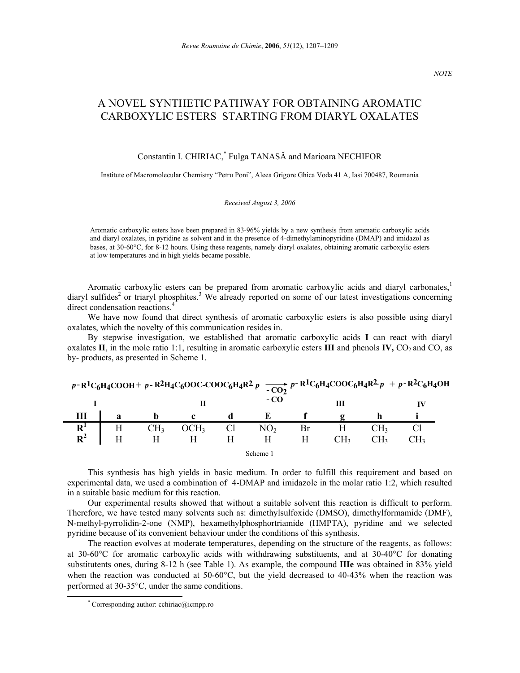# A NOVEL SYNTHETIC PATHWAY FOR OBTAINING AROMATIC CARBOXYLIC ESTERS STARTING FROM DIARYL OXALATES

## Constantin I. CHIRIAC,\* Fulga TANASĂ and Marioara NECHIFOR

Institute of Macromolecular Chemistry "Petru Poni", Aleea Grigore Ghica Voda 41 A, Iasi 700487, Roumania

#### *Received August 3, 2006*

Aromatic carboxylic esters have been prepared in 83-96% yields by a new synthesis from aromatic carboxylic acids and diaryl oxalates, in pyridine as solvent and in the presence of 4-dimethylaminopyridine (DMAP) and imidazol as bases, at 30-60°C, for 8-12 hours. Using these reagents, namely diaryl oxalates, obtaining aromatic carboxylic esters at low temperatures and in high yields became possible.

Aromatic carboxylic esters can be prepared from aromatic carboxylic acids and diaryl carbonates,<sup>1</sup> diaryl sulfides<sup>2</sup> or triaryl phosphites.<sup>3</sup> We already reported on some of our latest investigations concerning direct condensation reactions.<sup>4</sup>

We have now found that direct synthesis of aromatic carboxylic esters is also possible using diaryl oxalates, which the novelty of this communication resides in.

By stepwise investigation, we established that aromatic carboxylic acids **I** can react with diaryl oxalates  $\mathbf{II}$ , in the mole ratio 1:1, resulting in aromatic carboxylic esters  $\mathbf{III}$  and phenols  $\mathbf{IV}$ ,  $\mathbf{CO}$ , and  $\mathbf{CO}$ , as by- products, as presented in Scheme 1.

|                |   |                 | $p-R^1C_6H_4COOH + p-R^2H_4C_6OOC-COOC_6H_4R^2p \xrightarrow{-CO_2} p-R^1C_6H_4COOC_6H_4R^2p + p-R^2C_6H_4OH$ |                |                 |   |     |                 |     |
|----------------|---|-----------------|---------------------------------------------------------------------------------------------------------------|----------------|-----------------|---|-----|-----------------|-----|
|                |   |                 | Н                                                                                                             |                | - CO            |   | Ш   |                 |     |
|                | a |                 |                                                                                                               |                |                 |   |     |                 |     |
|                |   | CH <sub>3</sub> | OCH <sub>3</sub>                                                                                              | $\frac{Cl}{H}$ | NO <sub>2</sub> |   |     | CH3             |     |
| $R^1$<br>$R^2$ |   |                 |                                                                                                               |                |                 | Н | CH3 | CH <sub>3</sub> | CH2 |
|                |   |                 |                                                                                                               |                | Scheme '        |   |     |                 |     |

This synthesis has high yields in basic medium. In order to fulfill this requirement and based on experimental data, we used a combination of 4-DMAP and imidazole in the molar ratio 1:2, which resulted in a suitable basic medium for this reaction.

Our experimental results showed that without a suitable solvent this reaction is difficult to perform. Therefore, we have tested many solvents such as: dimethylsulfoxide (DMSO), dimethylformamide (DMF), N-methyl-pyrrolidin-2-one (NMP), hexamethylphosphortriamide (HMPTA), pyridine and we selected pyridine because of its convenient behaviour under the conditions of this synthesis.

The reaction evolves at moderate temperatures, depending on the structure of the reagents, as follows: at 30-60°C for aromatic carboxylic acids with withdrawing substituents, and at 30-40°C for donating substitutents ones, during 8-12 h (see Table 1). As example, the compound **IIIe** was obtained in 83% yield when the reaction was conducted at 50-60°C, but the yield decreased to 40-43% when the reaction was performed at 30-35°C, under the same conditions.

 <sup>\*</sup> \* Corresponding author: cchiriac@icmpp.ro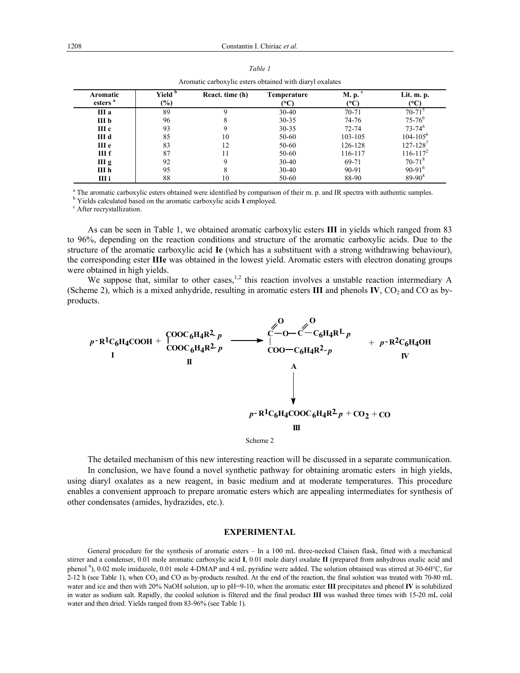| Aromatic<br>esters <sup>a</sup> | Yield <sup>b</sup><br>$(\%)$ | React. time (h) | <b>Temperature</b><br>(°C) | M. p. c<br>(°C) | Lit. m. p.<br>(°C)       |
|---------------------------------|------------------------------|-----------------|----------------------------|-----------------|--------------------------|
| III a                           | 89                           |                 | $30 - 40$                  | $70 - 71$       | $70 - 71$                |
| III b                           | 96                           | 8               | $30 - 35$                  | 74-76           | $75 - 76$ <sup>6</sup>   |
| III c                           | 93                           | 9               | $30 - 35$                  | $72 - 74$       | $73 - 74^{6}$            |
| III d                           | 85                           | 10              | 50-60                      | 103-105         | $104 - 105^6$            |
| III e                           | 83                           | 12              | 50-60                      | 126-128         | $127 - 128$ <sup>7</sup> |
| III <sub>f</sub>                | 87                           | 11              | 50-60                      | 116-117         | $116 - 117^2$            |
| III g                           | 92                           | 9               | $30-40$                    | 69-71           | $70 - 71$ <sup>8</sup>   |
| III h                           | 95                           | 8               | $30 - 40$                  | 90-91           | $90-91^{6}$              |
| III i                           | 88                           | 10              | 50-60                      | 88-90           | $89 - 90^8$              |

| able |  |
|------|--|
|------|--|

Aromatic carboxylic esters obtained with diaryl oxalates

<sup>a</sup> The aromatic carboxylic esters obtained were identified by comparison of their m. p. and IR spectra with authentic samples.  $\frac{b}{2}$  Nields coloulated based on the aromatic samples arises I employed

<sup>b</sup> Yields calculated based on the aromatic carboxylic acids **I** employed.

After recrystallization.

As can be seen in Table 1, we obtained aromatic carboxylic esters **III** in yields which ranged from 83 to 96%, depending on the reaction conditions and structure of the aromatic carboxylic acids. Due to the structure of the aromatic carboxylic acid **Ie** (which has a substituent with a strong withdrawing behaviour), the corresponding ester **IIIe** was obtained in the lowest yield. Aromatic esters with electron donating groups were obtained in high yields.

We suppose that, similar to other cases,<sup>1,2</sup> this reaction involves a unstable reaction intermediary A (Scheme 2), which is a mixed anhydride, resulting in aromatic esters  $III$  and phenols  $IV$ ,  $CO<sub>2</sub>$  and  $CO$  as byproducts.



The detailed mechanism of this new interesting reaction will be discussed in a separate communication. In conclusion, we have found a novel synthetic pathway for obtaining aromatic esters in high yields, using diaryl oxalates as a new reagent, in basic medium and at moderate temperatures. This procedure enables a convenient approach to prepare aromatic esters which are appealing intermediates for synthesis of other condensates (amides, hydrazides, etc.).

### **EXPERIMENTAL**

General procedure for the synthesis of aromatic esters – In a 100 mL three-necked Claisen flask, fitted with a mechanical stirrer and a condenser, 0.01 mole aromatic carboxylic acid **I**, 0.01 mole diaryl oxalate **II** (prepared from anhydrous oxalic acid and phenol<sup>9</sup>), 0.02 mole imidazole, 0.01 mole 4-DMAP and 4 mL pyridine were added. The solution obtained was stirred at 30-60°C, for 2-12 h (see Table 1), when CO<sub>2</sub> and CO as by-products resulted. At the end of the reaction, the final solution was treated with 70-80 mL water and ice and then with 20% NaOH solution, up to pH=9-10, when the aromatic ester **III** precipitates and phenol **IV** is solubilized in water as sodium salt. Rapidly, the cooled solution is filtered and the final product **III** was washed three times with 15-20 mL cold water and then dried. Yields ranged from 83-96% (see Table 1).